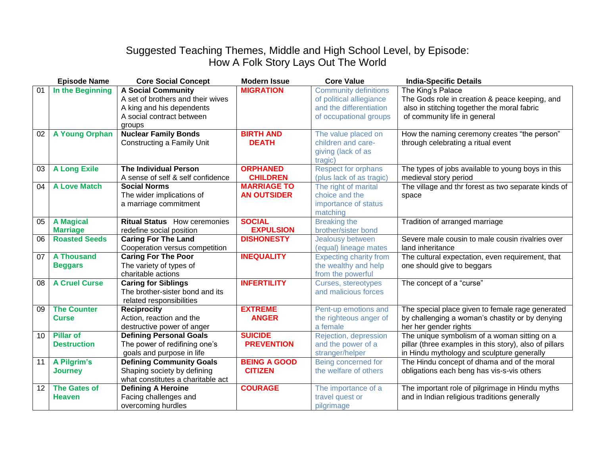## Suggested Teaching Themes, Middle and High School Level, by Episode: How A Folk Story Lays Out The World

|    | <b>Episode Name</b>  | <b>Core Social Concept</b>          | <b>Modern Issue</b> | <b>Core Value</b>             | <b>India-Specific Details</b>                          |
|----|----------------------|-------------------------------------|---------------------|-------------------------------|--------------------------------------------------------|
| 01 | In the Beginning     | <b>A Social Community</b>           | <b>MIGRATION</b>    | <b>Community definitions</b>  | The King's Palace                                      |
|    |                      | A set of brothers and their wives   |                     | of political alliegiance      | The Gods role in creation & peace keeping, and         |
|    |                      | A king and his dependents           |                     | and the differentiation       | also in stitching together the moral fabric            |
|    |                      | A social contract between           |                     | of occupational groups        | of community life in general                           |
|    |                      | groups                              |                     |                               |                                                        |
| 02 | A Young Orphan       | <b>Nuclear Family Bonds</b>         | <b>BIRTH AND</b>    | The value placed on           | How the naming ceremony creates "the person"           |
|    |                      | Constructing a Family Unit          | <b>DEATH</b>        | children and care-            | through celebrating a ritual event                     |
|    |                      |                                     |                     | giving (lack of as            |                                                        |
|    |                      |                                     |                     | tragic)                       |                                                        |
| 03 | <b>A Long Exile</b>  | <b>The Individual Person</b>        | <b>ORPHANED</b>     | <b>Respect for orphans</b>    | The types of jobs available to young boys in this      |
|    |                      | A sense of self & self confidence   | <b>CHILDREN</b>     | (plus lack of as tragic)      | medieval story period                                  |
| 04 | <b>A Love Match</b>  | <b>Social Norms</b>                 | <b>MARRIAGE TO</b>  | The right of marital          | The village and thr forest as two separate kinds of    |
|    |                      | The wider implications of           | <b>AN OUTSIDER</b>  | choice and the                | space                                                  |
|    |                      | a marriage commitment               |                     | importance of status          |                                                        |
|    |                      |                                     |                     | matching                      |                                                        |
| 05 | <b>A</b> Magical     | <b>Ritual Status</b> How ceremonies | <b>SOCIAL</b>       | <b>Breaking the</b>           | Tradition of arranged marriage                         |
|    | <b>Marriage</b>      | redefine social position            | <b>EXPULSION</b>    | brother/sister bond           |                                                        |
| 06 | <b>Roasted Seeds</b> | <b>Caring For The Land</b>          | <b>DISHONESTY</b>   | Jealousy between              | Severe male cousin to male cousin rivalries over       |
|    |                      | Cooperation versus competition      |                     | (equal) lineage mates         | land inheritance                                       |
| 07 | <b>A Thousand</b>    | <b>Caring For The Poor</b>          | <b>INEQUALITY</b>   | <b>Expecting charity from</b> | The cultural expectation, even requirement, that       |
|    | <b>Beggars</b>       | The variety of types of             |                     | the wealthy and help          | one should give to beggars                             |
|    |                      | charitable actions                  |                     | from the powerful             |                                                        |
| 08 | <b>A Cruel Curse</b> | <b>Caring for Siblings</b>          | <b>INFERTILITY</b>  | Curses, stereotypes           | The concept of a "curse"                               |
|    |                      | The brother-sister bond and its     |                     | and malicious forces          |                                                        |
|    |                      | related responsibilities            |                     |                               |                                                        |
| 09 | <b>The Counter</b>   | <b>Reciprocity</b>                  | <b>EXTREME</b>      | Pent-up emotions and          | The special place given to female rage generated       |
|    | <b>Curse</b>         | Action, reaction and the            | <b>ANGER</b>        | the righteous anger of        | by challenging a woman's chastity or by denying        |
|    |                      | destructive power of anger          |                     | a female                      | her her gender rights                                  |
| 10 | <b>Pillar of</b>     | <b>Defining Personal Goals</b>      | <b>SUICIDE</b>      | Rejection, depression         | The unique symbolism of a woman sitting on a           |
|    | <b>Destruction</b>   | The power of redifining one's       | <b>PREVENTION</b>   | and the power of a            | pillar (three examples in this story), also of pillars |
|    |                      | goals and purpose in life           |                     | stranger/helper               | in Hindu mythology and sculpture generally             |
| 11 | A Pilgrim's          | <b>Defining Community Goals</b>     | <b>BEING A GOOD</b> | Being concerned for           | The Hindu concept of dhama and of the moral            |
|    | <b>Journey</b>       | Shaping society by defining         | <b>CITIZEN</b>      | the welfare of others         | obligations each beng has vis-s-vis others             |
|    |                      | what constitutes a charitable act   |                     |                               |                                                        |
| 12 | <b>The Gates of</b>  | <b>Defining A Heroine</b>           | <b>COURAGE</b>      | The importance of a           | The important role of pilgrimage in Hindu myths        |
|    | <b>Heaven</b>        | Facing challenges and               |                     | travel quest or               | and in Indian religious traditions generally           |
|    |                      | overcoming hurdles                  |                     | pilgrimage                    |                                                        |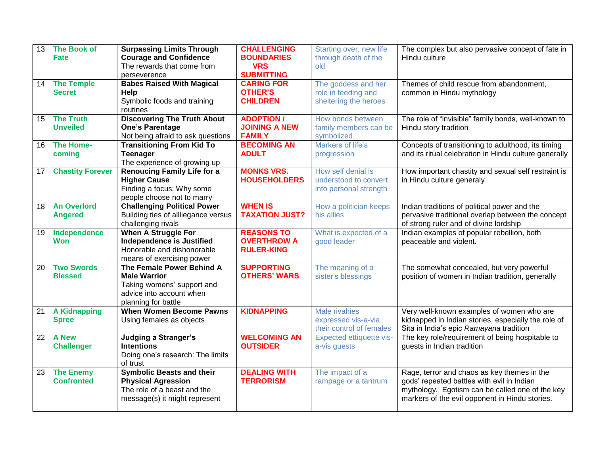| 13               | <b>The Book of</b>      | <b>Surpassing Limits Through</b>    | <b>CHALLENGING</b>    | Starting over, new life  | The complex but also pervasive concept of fate in     |
|------------------|-------------------------|-------------------------------------|-----------------------|--------------------------|-------------------------------------------------------|
|                  | Fate                    | <b>Courage and Confidence</b>       | <b>BOUNDARIES</b>     | through death of the     | Hindu culture                                         |
|                  |                         | The rewards that come from          | <b>VRS</b>            | old                      |                                                       |
|                  |                         | perseverence                        | <b>SUBMITTING</b>     |                          |                                                       |
| 14               | <b>The Temple</b>       | <b>Babes Raised With Magical</b>    | <b>CARING FOR</b>     | The goddess and her      | Themes of child rescue from abandonment,              |
|                  | <b>Secret</b>           | Help                                | <b>OTHER'S</b>        | role in feeding and      | common in Hindu mythology                             |
|                  |                         | Symbolic foods and training         | <b>CHILDREN</b>       | sheltering the heroes    |                                                       |
|                  |                         | routines                            |                       |                          |                                                       |
| 15 <sup>15</sup> | <b>The Truth</b>        | <b>Discovering The Truth About</b>  | <b>ADOPTION/</b>      | How bonds between        | The role of "invisible" family bonds, well-known to   |
|                  | <b>Unveiled</b>         | <b>One's Parentage</b>              | <b>JOINING A NEW</b>  | family members can be    | Hindu story tradition                                 |
|                  |                         | Not being afraid to ask questions   | <b>FAMILY</b>         | symbolized               |                                                       |
| 16               | <b>The Home-</b>        | <b>Transitioning From Kid To</b>    | <b>BECOMING AN</b>    | Markers of life's        | Concepts of transitioning to adulthood, its timing    |
|                  | coming                  | <b>Teenager</b>                     | <b>ADULT</b>          | progression              | and its ritual celebration in Hindu culture generally |
|                  |                         | The experience of growing up        |                       |                          |                                                       |
| 17               | <b>Chastity Forever</b> | <b>Renoucing Family Life for a</b>  | <b>MONKS VRS.</b>     | How self denial is       | How important chastity and sexual self restraint is   |
|                  |                         | <b>Higher Cause</b>                 | <b>HOUSEHOLDERS</b>   | understood to convert    | in Hindu culture generaly                             |
|                  |                         | Finding a focus: Why some           |                       | into personal strength   |                                                       |
|                  |                         | people choose not to marry          |                       |                          |                                                       |
| 18               | <b>An Overlord</b>      | <b>Challenging Political Power</b>  | <b>WHEN IS</b>        | How a politician keeps   | Indian traditions of political power and the          |
|                  | <b>Angered</b>          | Building ties of allliegance versus | <b>TAXATION JUST?</b> | his allies               | pervasive traditional overlap between the concept     |
|                  |                         | challenging rivals                  |                       |                          | of strong ruler and of divine lordship                |
| 19               | Independence            | When A Struggle For                 | <b>REASONS TO</b>     | What is expected of a    | Indian examples of popular rebellion, both            |
|                  | <b>Won</b>              | <b>Independence is Justified</b>    | <b>OVERTHROW A</b>    | good leader              | peaceable and violent.                                |
|                  |                         | Honorable and dishonorable          | <b>RULER-KING</b>     |                          |                                                       |
|                  |                         | means of exercising power           |                       |                          |                                                       |
| 20               | <b>Two Swords</b>       | The Female Power Behind A           | <b>SUPPORTING</b>     | The meaning of a         | The somewhat concealed, but very powerful             |
|                  | <b>Blessed</b>          | <b>Male Warrior</b>                 | <b>OTHERS' WARS</b>   | sister's blessings       | position of women in Indian tradition, generally      |
|                  |                         | Taking womens' support and          |                       |                          |                                                       |
|                  |                         | advice into account when            |                       |                          |                                                       |
|                  |                         | planning for battle                 |                       |                          |                                                       |
| 21               | <b>A Kidnapping</b>     | <b>When Women Become Pawns</b>      | <b>KIDNAPPING</b>     | <b>Male rivalries</b>    | Very well-known examples of women who are             |
|                  | <b>Spree</b>            | Using females as objects            |                       | expressed vis-a-via      | kidnapped in Indian stories, especially the role of   |
|                  |                         |                                     |                       | their control of females | Sita in India's epic Ramayana tradition               |
| 22               | <b>A New</b>            | <b>Judging a Stranger's</b>         | <b>WELCOMING AN</b>   | Expected ettiquette vis- | The key role/requirement of being hospitable to       |
|                  | <b>Challenger</b>       | <b>Intentions</b>                   | <b>OUTSIDER</b>       | a-vis guests             | guests in Indian tradition                            |
|                  |                         | Doing one's research: The limits    |                       |                          |                                                       |
|                  |                         | of trust                            |                       |                          |                                                       |
| 23               | <b>The Enemy</b>        | <b>Symbolic Beasts and their</b>    | <b>DEALING WITH</b>   | The impact of a          | Rage, terror and chaos as key themes in the           |
|                  | <b>Confronted</b>       | <b>Physical Agression</b>           | <b>TERRORISM</b>      | rampage or a tantrum     | gods' repeated battles with evil in Indian            |
|                  |                         | The role of a beast and the         |                       |                          | mythology. Egotism can be called one of the key       |
|                  |                         | message(s) it might represent       |                       |                          | markers of the evil opponent in Hindu stories.        |
|                  |                         |                                     |                       |                          |                                                       |